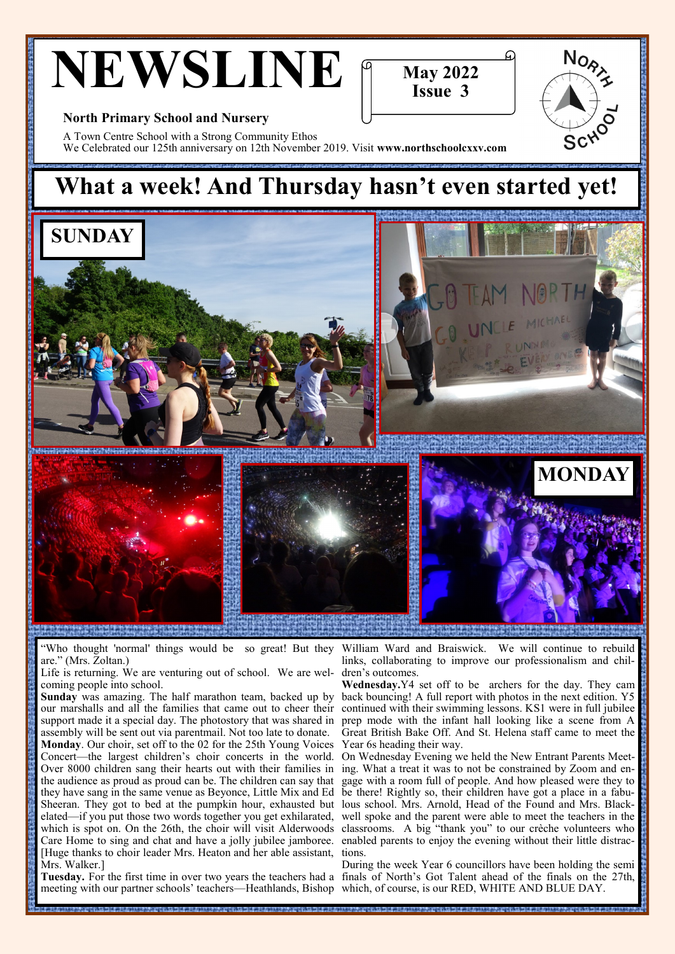# **NEWSLINE**



 $N_{O_{\lambda}}$ 

School

#### **North Primary School and Nursery**

A Town Centre School with a Strong Community Ethos We Celebrated our 125th anniversary on 12th November 2019. Visit **www.northschoolcxxv.com** 

## **What a week! And Thursday hasn't even started yet!**



"Who thought 'normal' things would be so great! But they are." (Mrs. Zoltan.)

Life is returning. We are venturing out of school. We are welcoming people into school.

**Sunday** was amazing. The half marathon team, backed up by our marshalls and all the families that came out to cheer their support made it a special day. The photostory that was shared in assembly will be sent out via parentmail. Not too late to donate.

**Monday**. Our choir, set off to the 02 for the 25th Young Voices Concert—the largest children's choir concerts in the world. Over 8000 children sang their hearts out with their families in the audience as proud as proud can be. The children can say that they have sang in the same venue as Beyonce, Little Mix and Ed Sheeran. They got to bed at the pumpkin hour, exhausted but elated—if you put those two words together you get exhilarated, which is spot on. On the 26th, the choir will visit Alderwoods Care Home to sing and chat and have a jolly jubilee jamboree. [Huge thanks to choir leader Mrs. Heaton and her able assistant, Mrs. Walker.]

meeting with our partner schools' teachers—Heathlands, Bishop which, of course, is our RED, WHITE AND BLUE DAY.

William Ward and Braiswick. We will continue to rebuild links, collaborating to improve our professionalism and children's outcomes.

**Wednesday.**Y4 set off to be archers for the day. They cam back bouncing! A full report with photos in the next edition. Y5 continued with their swimming lessons. KS1 were in full jubilee prep mode with the infant hall looking like a scene from A Great British Bake Off. And St. Helena staff came to meet the Year 6s heading their way.

On Wednesday Evening we held the New Entrant Parents Meeting. What a treat it was to not be constrained by Zoom and engage with a room full of people. And how pleased were they to be there! Rightly so, their children have got a place in a fabulous school. Mrs. Arnold, Head of the Found and Mrs. Blackwell spoke and the parent were able to meet the teachers in the classrooms. A big "thank you" to our crèche volunteers who enabled parents to enjoy the evening without their little distractions.

**Tuesday.** For the first time in over two years the teachers had a finals of North's Got Talent ahead of the finals on the 27th, During the week Year 6 councillors have been holding the semi